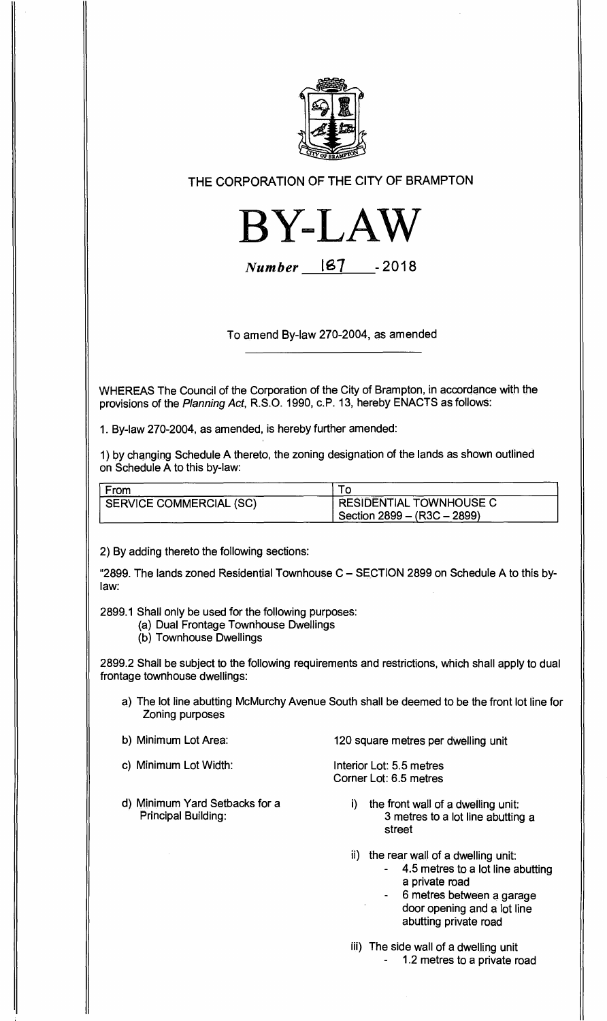

**THE CORPORATION OF THE CITY OF BRAMPTON** 



**Number** 187 -2018

**To amend By-law 270-2004, as amended** 

**WHEREAS The Council of the Corporation of the City of Brampton, in accordance with the provisions of the** Planning Act, **R.S.O. 1990, c.P. 13, hereby ENACTS as follows:** 

**1. By-law 270-2004, as amended, is hereby further amended:** 

**1) by changing Schedule A thereto, the zoning designation of the lands as shown outlined on Schedule A to this by-law:** 

| From                    |                               |
|-------------------------|-------------------------------|
| SERVICE COMMERCIAL (SC) | RESIDENTIAL TOWNHOUSE C       |
|                         | Section 2899 – $(R3C - 2899)$ |

**2) By adding thereto the following sections:** 

**"2899. The lands zoned Residential Townhouse C — SECTION 2899 on Schedule A to this bylaw:** 

**2899.1 Shall only be used for the following purposes:** 

- **(a) Dual Frontage Townhouse Dwellings**
- **(b) Townhouse Dwellings**

**2899.2 Shall be subject to the following requirements and restrictions, which shall apply to dual frontage townhouse dwellings:** 

- **a) The lot line abutting McMurchy Avenue South shall be deemed to be the front lot line for Zoning purposes**
- 
- **c) Minimum Lot Width: Interior Lot: 5.5 metres**
- **d) Minimum Yard Setbacks for a Principal Building:**

**b) Minimum Lot Area: 120 square metres per dwelling unit** 

**Corner Lot: 6.5 metres** 

- **i) the front wall of a dwelling unit: 3 metres to a lot line abutting a street**
- **the rear wall of a dwelling unit:** 
	- **4.5 metres to a lot line abutting a private road**
	- **6 metres between a garage door opening and a lot line abutting private road**
- **iii) The side wall of a dwelling unit - 1.2 metres to a private road**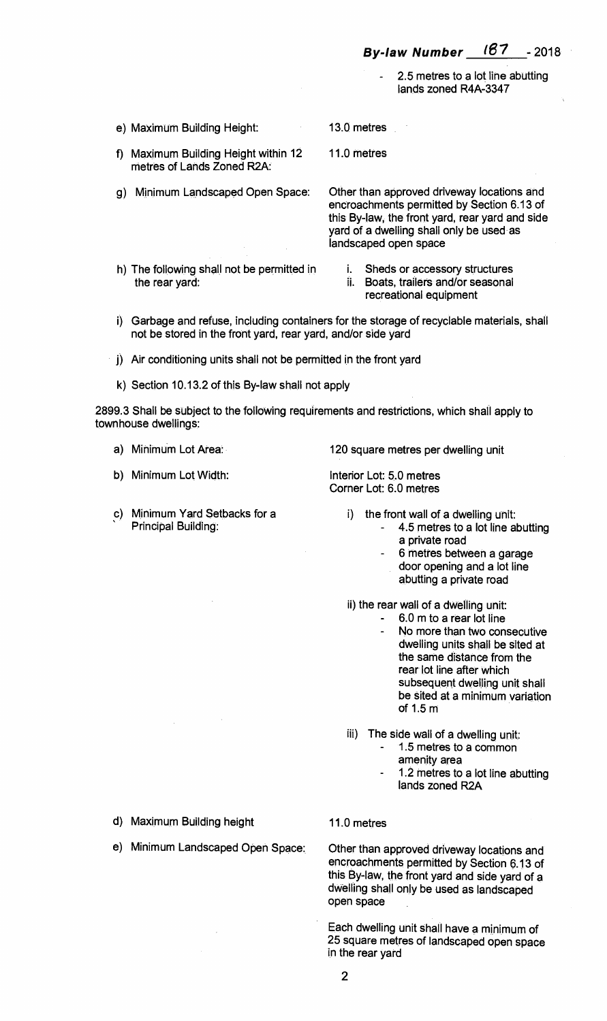2.5 metres to a lot line abutting lands zoned R4A-3347

e) Maximum Building Height:

11.0 metres

13.0 metres

f) Maximum Building Height within 12 metres of Lands Zoned R2A:

g) Minimum Landscaped Open Space:

Other than approved driveway locations and encroachments permitted by Section 6.13 of this By-law, the front yard, rear yard and side yard of a dwelling shall only be used as landscaped open space

- h) The following shall not be permitted in the rear yard:
- i. Sheds or accessory structures
- ii. Boats, trailers and/or seasonal
	- recreational equipment
- i) Garbage and refuse, including containers for the storage of recyclable materials, shall not be stored in the front yard, rear yard, and/or side yard
- j) Air conditioning units shall not be permitted in the front yard
- k) Section 10.13.2 of this By-law shall not apply

2899.3 Shall be subject to the following requirements and restrictions, which shall apply to townhouse dwellings:

- 
- b) Minimum Lot Width: Interior Lot: 5.0 metres

c) Minimum Yard Setbacks for a Principal Building:

a) Minimum Lot Area: 120 square metres per dwelling unit

Corner Lot: 6.0 metres

- i) the front wall of a dwelling unit:
	- 4.5 metres to a lot line abutting a private road
	- 6 metres between a garage door opening and a lot line abutting a private road

ii) the rear wall of a dwelling unit:

- 6.0 m to a rear lot line
	- No more than two consecutive dwelling units shall be sited at the same distance from the rear lot line after which subsequent dwelling unit shall be sited at a minimum variation of 1.5 m
- iii) The side wall of a dwelling unit:
	- 1.5 metres to a common amenity area
	- 1.2 metres to a lot line abutting lands zoned R2A

d) Maximum Building height 11.0 metres

e) Minimum Landscaped Open Space: Other than approved driveway locations and encroachments permitted by Section 6.13 of this By-law, the front yard and side yard of a dwelling shall only be used as landscaped open space

> Each dwelling unit shall have a minimum of 25 square metres of landscaped open space in the rear yard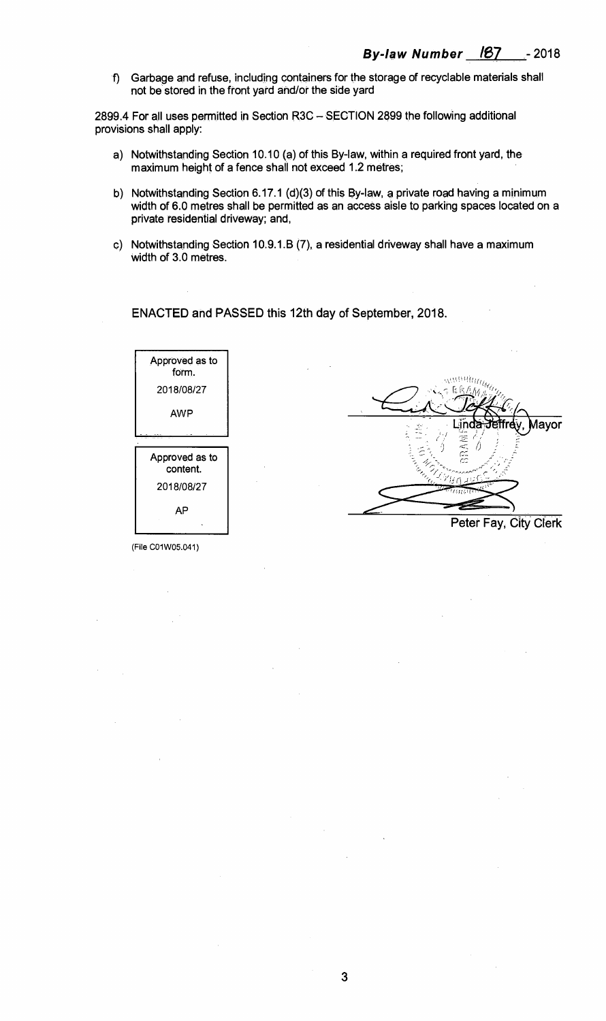f) Garbage and refuse, including containers for the storage of recyclable materials shall not be stored in the front yard and/or the side yard

2899.4 For all uses permitted in Section R3C — SECTION 2899 the following additional provisions shall apply:

- a) Notwithstanding Section 10.10 (a) of this By-law, within a required front yard, the maximum height of a fence shall not exceed 1.2 metres;
- b) Notwithstanding Section 6.17.1 (d)(3) of this By-law, a private road having a minimum width of 6.0 metres shall be permitted as an access aisle to parking spaces located on a private residential driveway; and,
- c) Notwithstanding Section 10.9.1.B (7), a residential driveway shall have a maximum width of 3.0 metres.

**ENACTED and PASSED this 12th day of September, 2018.** 



(File CO1W05.041)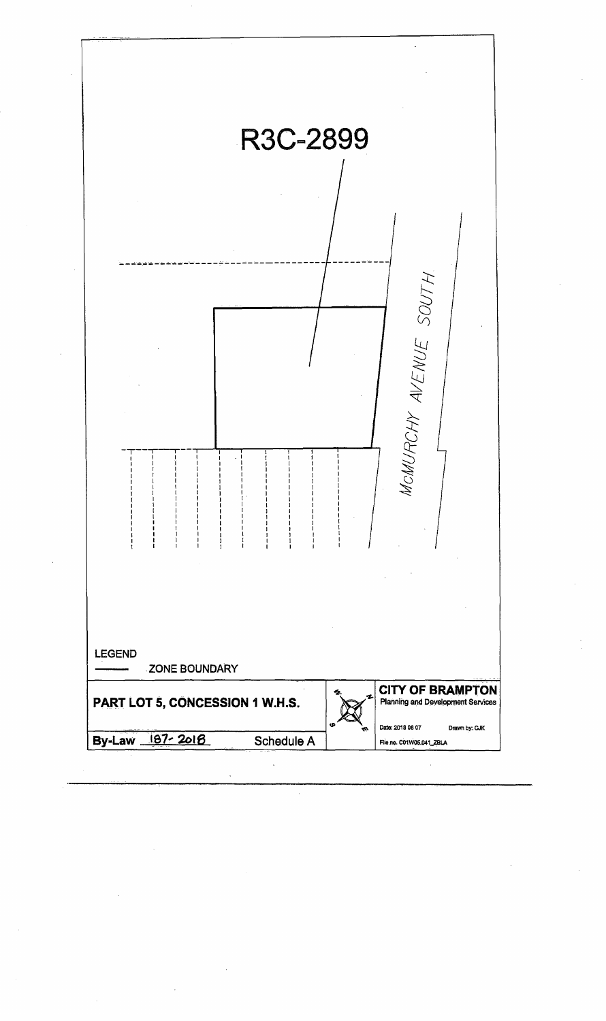